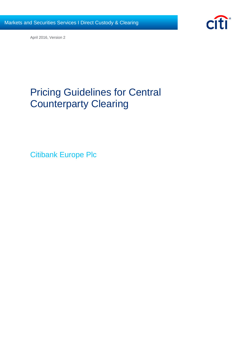

April 2016, Version 2

# Pricing Guidelines for Central Counterparty Clearing

Citibank Europe Plc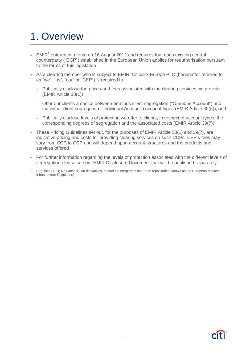# 1. Overview

- $\bullet$  EMIR<sup>1</sup> entered into force on 16 August 2012 and requires that each existing central counterparty ("CCP") established in the European Union applies for reauthorisation pursuant to the terms of this legislation
- As a clearing member who is subject to EMIR, Citibank Europe PLC (hereinafter referred to as "we", "us", "our" or "CEP") is required to
	- Publically disclose the prices and fees associated with the clearing services we provide (EMIR Article 38(1))
	- Offer our clients a choice between omnibus client segregation ("Omnibus Account") and individual client segregation ("Individual Account") account types (EMIR Article 39(5)); and
	- Publically disclose levels of protection we offer to clients, in respect of account types, the corresponding degrees of segregation and the associated costs (EMIR Article 39(7))
- These Pricing Guidelines set out, for the purposes of EMIR Article 38(1) and 39(7), are indicative pricing and costs for providing clearing services on such CCPs. CEP's fees may vary from CCP to CCP and will depend upon account structures and the products and services offered
- For further information regarding the levels of protection associated with the different levels of segregation please see our EMIR Disclosure Document that will be published separately
- 1. Regulation (EU) No 648/2012 on derivatives, central counterparties and trade repositories (known as the European Markets Infrastructure Regulation)

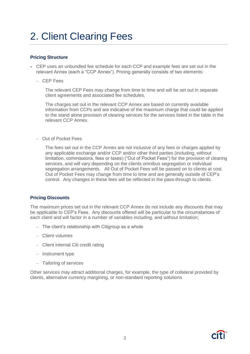# 2. Client Clearing Fees

## **Pricing Structure**

- CEP uses an unbundled fee schedule for each CCP and example fees are set out in the relevant Annex (each a "CCP Annex"). Pricing generally consists of two elements:
	- CEP Fees

The relevant CEP Fees may change from time to time and will be set out in separate client agreements and associated fee schedules.

The charges set out in the relevant CCP Annex are based on currently available information from CCPs and are indicative of the maximum charge that could be applied to the stand alone provision of clearing services for the services listed in the table in the relevant CCP Annex.

– Out of Pocket Fees

The fees set out in the CCP Annex are not inclusive of any fees or charges applied by any applicable exchange and/or CCP and/or other third parties (including, without limitation, commissions, fees or taxes) ("Out of Pocket Fees") for the provision of clearing services, and will vary depending on the clients omnibus segregation or individual segregation arrangements. All Out of Pocket Fees will be passed on to clients at cost. Out of Pocket Fees may change from time to time and are generally outside of CEP's control. Any changes in these fees will be reflected in the pass-through to clients.

## **Pricing Discounts**

The maximum prices set out in the relevant CCP Annex do not include any discounts that may be applicable to CEP's Fees. Any discounts offered will be particular to the circumstances of each client and will factor in a number of variables including, and without limitation;

- The client's relationship with Citigroup as a whole
- Client volumes
- Client internal Citi credit rating
- Instrument type
- Tailoring of services

Other services may attract additional charges, for example, the type of collateral provided by clients, alternative currency margining, or non-standard reporting solutions

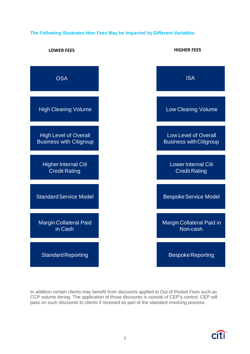## **The Following Illustrates How Fees May be Impacted by Different Variables**



In addition certain clients may benefit from discounts applied to Out of Pocket Fees such as CCP volume tiering. The application of those discounts is outside of CEP's control. CEP will pass on such discounts to clients if received as part of the standard invoicing process.

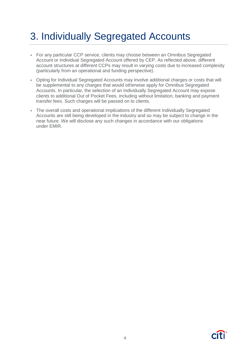# 3. Individually Segregated Accounts

- For any particular CCP service, clients may choose between an Omnibus Segregated Account or Individual Segregated Account offered by CEP. As reflected above, different account structures at different CCPs may result in varying costs due to increased complexity (particularly from an operational and funding perspective).
- Opting for Individual Segregated Accounts may involve additional charges or costs that will be supplemental to any charges that would otherwise apply for Omnibus Segregated Accounts. In particular, the selection of an Individually Segregated Account may expose clients to additional Out of Pocket Fees, including without limitation, banking and payment transfer fees. Such charges will be passed on to clients.
- The overall costs and operational implications of the different Individually Segregated Accounts are still being developed in the industry and so may be subject to change in the near future. We will disclose any such changes in accordance with our obligations under EMIR.

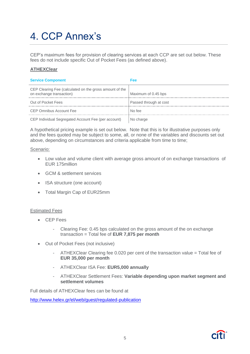# 4. CCP Annex's

CEP's maximum fees for provision of clearing services at each CCP are set out below. These fees do not include specific Out of Pocket Fees (as defined above).

## **ATHEXClear**

| <b>Service Component</b>                                                            | Fee                    |
|-------------------------------------------------------------------------------------|------------------------|
| CEP Clearing Fee (calculated on the gross amount of the<br>on exchange transaction) | Maximum of 0.45 bps    |
| Out of Pocket Fees                                                                  | Passed through at cost |
| <b>CEP Omnibus Account Fee</b>                                                      | No fee                 |
| CEP Individual Segregated Account Fee (per account)                                 | No charge              |

A hypothetical pricing example is set out below. Note that this is for illustrative purposes only and the fees quoted may be subject to some, all, or none of the variables and discounts set out above, depending on circumstances and criteria applicable from time to time;

#### Scenario:

- Low value and volume client with average gross amount of on exchange transactions of EUR 175million
- **GCM & settlement services**
- ISA structure (one account)
- Total Margin Cap of EUR25mm

## Estimated Fees

- CEP Fees
	- Clearing Fee: 0.45 bps calculated on the gross amount of the on exchange transaction = Total fee of **EUR 7,875 per month**
- Out of Pocket Fees (not inclusive)
	- ATHEXClear Clearing fee 0.020 per cent of the transaction value = Total fee of **EUR 35,000 per month**
	- ATHEXClear ISA Fee: **EUR5,000 annually**
	- ATHEXClear Settlement Fees: **Variable depending upon market segment and settlement volumes**

Full details of ATHEXClear fees can be found at

[http://www.helex.gr/el/web/guest/regulated-publication](https://urldefense.proofpoint.com/v1/url?u=http://www.helex.gr/el/web/guest/regulated-publication&k=wdHsQuqY0Mqq1fNjZGIYnA%3D%3D%0A&r=wPSLQrEiiWEKi3Cv1oTXmy7M2Dv%2FmaEiqsIWyaVJmAI%3D%0A&m=gRAUh6ImRUlgR675wYDSxNUfl9XltmVXhXEBSHmxs0k%3D%0A&s=f06d056e6186f90c02ac234e14f19ad008bff1eed96c162648439495784428cf)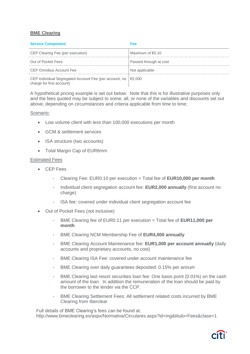## **BME Clearing**

| <b>Service Component</b>                                                                        | Fee:                       |
|-------------------------------------------------------------------------------------------------|----------------------------|
| CEP Clearing Fee (per execution)                                                                | Maximum of $\epsilon$ 0.10 |
| Out of Pocket Fees                                                                              | Passed through at cost     |
| CEP Omnibus Account Fee                                                                         | Not applicable             |
| CEP Individual Segregated Account Fee (per account, no $\in$ 2,000<br>charge for first account) |                            |

A hypothetical pricing example is set out below. Note that this is for illustrative purposes only and the fees quoted may be subject to some, all, or none of the variables and discounts set out above, depending on circumstances and criteria applicable from time to time;

## Scenario:

- Low volume client with less than 100,000 executions per month
- **GCM & settlement services**
- ISA structure (two accounts)
- Total Margin Cap of EUR6mm

## Estimated Fees

- CEP Fees
	- Clearing Fee: EUR0.10 per execution = Total fee of **EUR10,000 per month**
	- Individual client segregation account fee: **EUR2,000 annually** (first account no charge)
	- ISA fee: covered under individual client segregation account fee
- Out of Pocket Fees (not inclusive)
	- BME Clearing fee of EUR0.11 per execution = Total fee of **EUR11,000 per month**
	- BME Clearing NCM Membership Fee of **EUR4,000 annually**
	- BME Clearing Account Maintenance fee: **EUR1,000 per account annually** (daily accounts and proprietary accounts, no cost)
	- BME Clearing ISA Fee: covered under account maintenance fee
	- BME Clearing over daily guarantees deposited: 0.15% per annum
	- BME Clearing last resort securities loan fee: One basis point (0.01%) on the cash amount of the loan. In addition the remuneration of the loan should be paid by the borrower to the lender via the CCP.
	- BME Clearing Settlement Fees: All settlement related costs incurred by BME Clearing from Iberclear

Full details of BME Clearing's fees can be found at: http://www.bmeclearing.es/aspx/Normativa/Circulares.aspx?id=ing&titulo=Fees&clase=1

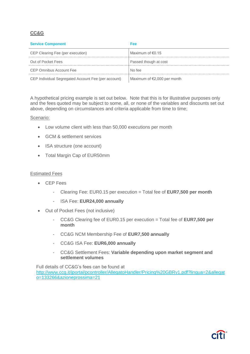# **CC&G**

| <b>Service Component</b>                            | Fee                         |
|-----------------------------------------------------|-----------------------------|
| CEP Clearing Fee (per execution)                    | Maximum of $\epsilon$ 0.15  |
| Out of Pocket Fees                                  | Passed though at cost       |
| CEP Omnibus Account Fee                             | No fee                      |
| CEP Individual Segregated Account Fee (per account) | Maximum of €2,000 per month |

A hypothetical pricing example is set out below. Note that this is for illustrative purposes only and the fees quoted may be subject to some, all, or none of the variables and discounts set out above, depending on circumstances and criteria applicable from time to time;

## Scenario:

- Low volume client with less than 50,000 executions per month
- GCM & settlement services
- ISA structure (one account)
- Total Margin Cap of EUR50mm

#### Estimated Fees

- CEP Fees
	- Clearing Fee: EUR0.15 per execution = Total fee of **EUR7,500 per month**
	- ISA Fee: **EUR24,000 annually**
- Out of Pocket Fees (not inclusive)
	- CC&G Clearing fee of EUR0.15 per execution = Total fee of **EUR7,500 per month**
	- CC&G NCM Membership Fee of **EUR7,500 annually**
	- CC&G ISA Fee: **EUR6,000 annually**
	- CC&G Settlement Fees: **Variable depending upon market segment and settlement volumes**

Full details of CC&G's fees can be found at [http://www.ccg.it/jportal/pcontroller/AllegatoHandler/Pricing%20GBRv1.pdf?lingua=2&allegat](http://www.ccg.it/jportal/pcontroller/AllegatoHandler/Pricing%20GBRv1.pdf?lingua=2&allegato=133266&azioneprossima=21) [o=133266&azioneprossima=21](http://www.ccg.it/jportal/pcontroller/AllegatoHandler/Pricing%20GBRv1.pdf?lingua=2&allegato=133266&azioneprossima=21)

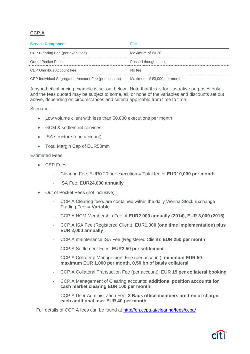# **CCP.A**

| <b>Service Component</b>                            | Fee                                   |
|-----------------------------------------------------|---------------------------------------|
| CEP Clearing Fee (per execution)                    | Maximum of $\epsilon$ 0.20            |
| Out of Pocket Fees                                  | Passed though at cost                 |
| CEP Omnibus Account Fee                             | No fee                                |
| CEP Individual Segregated Account Fee (per account) | Maximum of $\epsilon$ 3,000 per month |

A hypothetical pricing example is set out below. Note that this is for illustrative purposes only and the fees quoted may be subject to some, all, or none of the variables and discounts set out above, depending on circumstances and criteria applicable from time to time;

## Scenario:

- Low volume client with less than 50,000 executions per month
- GCM & settlement services
- ISA structure (one account)
- Total Margin Cap of EUR50mm

## Estimated Fees

- CEP Fees
	- Clearing Fee: EUR0.20 per execution = Total fee of **EUR10,000 per month**
	- ISA Fee: **EUR24,000 annually**
- Out of Pocket Fees (not inclusive)
	- CCP.A Clearing fee's are contained within the daily Vienna Stock Exchange Trading Fees= **Variable**
	- CCP.A NCM Membership Fee of **EUR2,000 annually (2014), EUR 3,000 (2015)**
	- CCP.A ISA Fee (Registered Client): **EUR1,000 (one time implementation) plus EUR 2,000 annually**
	- CCP.A maintenance ISA Fee (Registered Client): **EUR 250 per month**
	- CCP.A Settlement Fees: **EUR2.50 per settlement**
	- CCP.A Collateral Management Fee (per account): **minimum EUR 50 – maximum EUR 1,000 per month, 0,50 bp of basis collateral**
	- CCP.A Collateral Transaction Fee (per account): **EUR 15 per collateral booking**
	- CCP.A Management of Clearing accounts: **additional position accounts for cash market clearing EUR 100 per month**
	- CCP.A User Administration Fee: **3 Back office members are free of charge, each additional user EUR 40 per month**

Full details of CCP.A fees can be found at<http://en.ccpa.at/clearing/fees/ccpa/>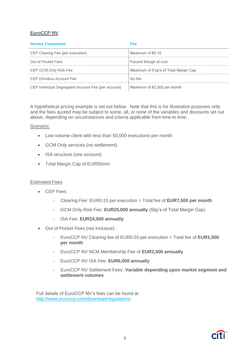## **EuroCCP NV**

| <b>Service Component</b>                            | Fee                                   |
|-----------------------------------------------------|---------------------------------------|
| CEP Clearing Fee (per execution)                    | Maximum of $\in 0.15$                 |
| Out of Pocket Fees                                  | Passed though at cost                 |
| CEP GCM Only Risk Fee                               | Maximum of 5 bp's of Total Margin Cap |
| CEP Omnibus Account Fee                             | No fee                                |
| CEP Individual Segregated Account Fee (per account) | Maximum of €2,000 per month           |

A hypothetical pricing example is set out below. Note that this is for illustrative purposes only and the fees quoted may be subject to some, all, or none of the variables and discounts set out above, depending on circumstances and criteria applicable from time to time;

## Scenario:

- Low volume client with less than 50,000 executions per month
- GCM Only services (no settlement)
- ISA structure (one account)
- Total Margin Cap of EUR50mm

## Estimated Fees

- CEP Fees
	- Clearing Fee: EUR0.15 per execution = Total fee of **EUR7,500 per month**
	- GCM Only Risk Fee: **EUR25,000 annually** (5bp's of Total Margin Cap)
	- ISA Fee: **EUR24,000 annually**
- Out of Pocket Fees (not inclusive)
	- EuroCCP NV Clearing fee of EUR0.03 per execution = Total fee of **EUR1,500 per month**
	- EuroCCP NV NCM Membership Fee of **EUR2,500 annually**
	- EuroCCP NV ISA Fee: **EUR6,000 annually**
	- EuroCCP NV Settlement Fees: **Variable depending upon market segment and settlement volumes**

Full details of EuroCCP NV's fees can be found at <http://www.euroccp.com/download/regulations>

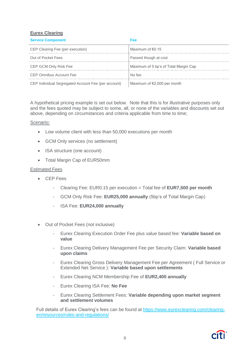## **Eurex Clearing**

| <b>Service Component</b>                            | Fee                                   |
|-----------------------------------------------------|---------------------------------------|
| CEP Clearing Fee (per execution)                    | Maximum of $\epsilon$ 0.15            |
| Out of Pocket Fees                                  | Passed though at cost                 |
| CEP GCM Only Risk Fee                               | Maximum of 5 bp's of Total Margin Cap |
| CEP Omnibus Account Fee                             | No fee                                |
| CEP Individual Segregated Account Fee (per account) | Maximum of $E$ ,000 per month         |

A hypothetical pricing example is set out below. Note that this is for illustrative purposes only and the fees quoted may be subject to some, all, or none of the variables and discounts set out above, depending on circumstances and criteria applicable from time to time;

## Scenario:

- Low volume client with less than 50,000 executions per month
- GCM Only services (no settlement)
- ISA structure (one account)
- Total Margin Cap of EUR50mm

#### Estimated Fees

- CEP Fees
	- Clearing Fee: EUR0.15 per execution = Total fee of **EUR7,500 per month**
	- GCM Only Risk Fee: **EUR25,000 annually** (5bp's of Total Margin Cap)
	- ISA Fee: **EUR24,000 annually**
- Out of Pocket Fees (not inclusive)
	- Eurex Clearing Execution Order Fee plus value based fee: **Variable based on value**
	- Eurex Clearing Delivery Management Fee per Security Claim: **Variable based upon claims**
	- Eurex Clearing Gross Delivery Management Fee per Agreement ( Full Service or Extended Net Service ): **Variable based upon settlements**
	- Eurex Clearing NCM Membership Fee of **EUR2,400 annually**
	- Eurex Clearing ISA Fee: **No Fee**
	- Eurex Clearing Settlement Fees: **Variable depending upon market segment and settlement volumes**

Full details of Eurex Clearing's fees can be found at [https://www.eurexclearing.com/clearing](https://www.eurexclearing.com/clearing-en/resources/rules-and-regulations/)[en/resources/rules-and-regulations/](https://www.eurexclearing.com/clearing-en/resources/rules-and-regulations/)

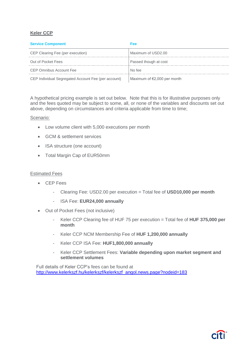## **Keler CCP**

| <b>Service Component</b>                            | Fee                         |
|-----------------------------------------------------|-----------------------------|
| CEP Clearing Fee (per execution)                    | Maximum of USD2.00          |
| Out of Pocket Fees                                  | Passed though at cost       |
| CEP Omnibus Account Fee                             | No fee                      |
| CEP Individual Segregated Account Fee (per account) | Maximum of €2,000 per month |

A hypothetical pricing example is set out below. Note that this is for illustrative purposes only and the fees quoted may be subject to some, all, or none of the variables and discounts set out above, depending on circumstances and criteria applicable from time to time;

#### Scenario:

- Low volume client with 5,000 executions per month
- GCM & settlement services
- ISA structure (one account)
- Total Margin Cap of EUR50mm

#### Estimated Fees

- CEP Fees
	- Clearing Fee: USD2.00 per execution = Total fee of **USD10,000 per month**
	- ISA Fee: **EUR24,000 annually**
- Out of Pocket Fees (not inclusive)
	- Keler CCP Clearing fee of HUF 75 per execution = Total fee of **HUF 375,000 per month**
	- Keler CCP NCM Membership Fee of **HUF 1,200,000 annually**
	- Keler CCP ISA Fee: **HUF1,800,000 annually**
	- Keler CCP Settlement Fees: **Variable depending upon market segment and settlement volumes**

Full details of Keler CCP's fees can be found at [http://www.kelerkszf.hu/kelerkszf/kelerkszf\\_angol.news.page?nodeid=183](http://www.kelerkszf.hu/kelerkszf/kelerkszf_angol.news.page?nodeid=183)

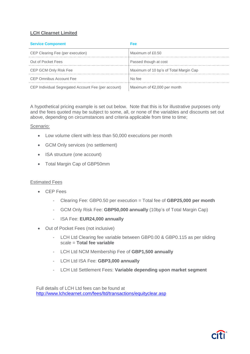## **LCH Clearnet Limited**

| <b>Service Component</b>                            | Fee                                    |
|-----------------------------------------------------|----------------------------------------|
| CEP Clearing Fee (per execution)                    | Maximum of £0.50                       |
| Out of Pocket Fees                                  | Passed though at cost                  |
| CEP GCM Only Risk Fee                               | Maximum of 10 bp's of Total Margin Cap |
| CEP Omnibus Account Fee                             | No fee                                 |
| CEP Individual Segregated Account Fee (per account) | Maximum of $\epsilon$ 2,000 per month  |

A hypothetical pricing example is set out below. Note that this is for illustrative purposes only and the fees quoted may be subject to some, all, or none of the variables and discounts set out above, depending on circumstances and criteria applicable from time to time;

## Scenario:

- Low volume client with less than 50,000 executions per month
- GCM Only services (no settlement)
- ISA structure (one account)
- Total Margin Cap of GBP50mm

## Estimated Fees

- CEP Fees
	- Clearing Fee: GBP0.50 per execution = Total fee of **GBP25,000 per month**
	- GCM Only Risk Fee: **GBP50,000 annually** (10bp's of Total Margin Cap)
	- ISA Fee: **EUR24,000 annually**
- Out of Pocket Fees (not inclusive)
	- LCH Ltd Clearing fee variable between GBP0.00 & GBP0.115 as per sliding scale = **Total fee variable**
	- LCH Ltd NCM Membership Fee of **GBP1,500 annually**
	- LCH Ltd ISA Fee: **GBP3,000 annually**
	- LCH Ltd Settlement Fees: **Variable depending upon market segment**

Full details of LCH Ltd fees can be found at <http://www.lchclearnet.com/fees/ltd/transactions/equityclear.asp>

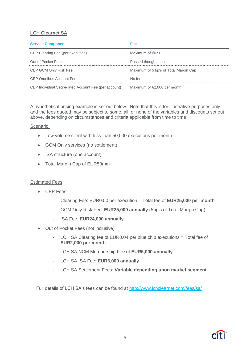# **LCH Clearnet SA**

| <b>Service Component</b>                            | Fee                                   |
|-----------------------------------------------------|---------------------------------------|
| CEP Clearing Fee (per execution)                    | Maximum of $\epsilon$ 0.50            |
| Out of Pocket Fees                                  | Passed though at cost                 |
| CEP GCM Only Risk Fee                               | Maximum of 5 bp's of Total Margin Cap |
| CEP Omnibus Account Fee                             | No fee                                |
| CEP Individual Segregated Account Fee (per account) | Maximum of $E$ ,000 per month         |

A hypothetical pricing example is set out below. Note that this is for illustrative purposes only and the fees quoted may be subject to some, all, or none of the variables and discounts set out above, depending on circumstances and criteria applicable from time to time;

## Scenario:

- Low volume client with less than 50,000 executions per month
- GCM Only services (no settlement)
- ISA structure (one account)
- Total Margin Cap of EUR50mm

## Estimated Fees

- CEP Fees
	- Clearing Fee: EUR0.50 per execution = Total fee of **EUR25,000 per month**
	- GCM Only Risk Fee: **EUR25,000 annually** (5bp's of Total Margin Cap)
	- ISA Fee: **EUR24,000 annually**
- Out of Pocket Fees (not inclusive)
	- LCH SA Clearing fee of EUR0.04 per blue chip executions = Total fee of **EUR2,000 per month**
	- LCH SA NCM Membership Fee of **EUR6,000 annually**
	- LCH SA ISA Fee: **EUR6,000 annually**
	- LCH SA Settlement Fees: **Variable depending upon market segment**

Full details of LCH SA's fees can be found at <http://www.lchclearnet.com/fees/sa/>